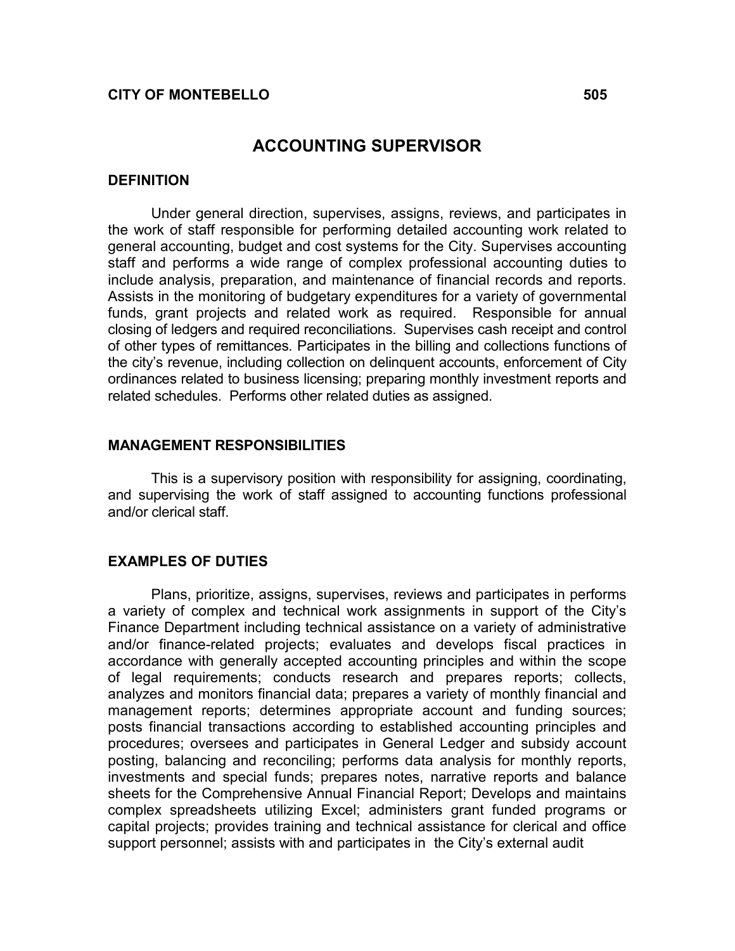## CITY OF MONTEBELLO 505

## ACCOUNTING SUPERVISOR

### **DEFINITION**

Under general direction, supervises, assigns, reviews, and participates in the work of staff responsible for performing detailed accounting work related to general accounting, budget and cost systems for the City. Supervises accounting staff and performs a wide range of complex professional accounting duties to include analysis, preparation, and maintenance of financial records and reports. Assists in the monitoring of budgetary expenditures for a variety of governmental funds, grant projects and related work as required. Responsible for annual closing of ledgers and required reconciliations. Supervises cash receipt and control of other types of remittances. Participates in the billing and collections functions of the city's revenue, including collection on delinquent accounts, enforcement of City ordinances related to business licensing; preparing monthly investment reports and related schedules. Performs other related duties as assigned.

### MANAGEMENT RESPONSIBILITIES

 This is a supervisory position with responsibility for assigning, coordinating, and supervising the work of staff assigned to accounting functions professional and/or clerical staff.

### EXAMPLES OF DUTIES

 Plans, prioritize, assigns, supervises, reviews and participates in performs a variety of complex and technical work assignments in support of the City's Finance Department including technical assistance on a variety of administrative and/or finance-related projects; evaluates and develops fiscal practices in accordance with generally accepted accounting principles and within the scope of legal requirements; conducts research and prepares reports; collects, analyzes and monitors financial data; prepares a variety of monthly financial and management reports; determines appropriate account and funding sources; posts financial transactions according to established accounting principles and procedures; oversees and participates in General Ledger and subsidy account posting, balancing and reconciling; performs data analysis for monthly reports, investments and special funds; prepares notes, narrative reports and balance sheets for the Comprehensive Annual Financial Report; Develops and maintains complex spreadsheets utilizing Excel; administers grant funded programs or capital projects; provides training and technical assistance for clerical and office support personnel; assists with and participates in the City's external audit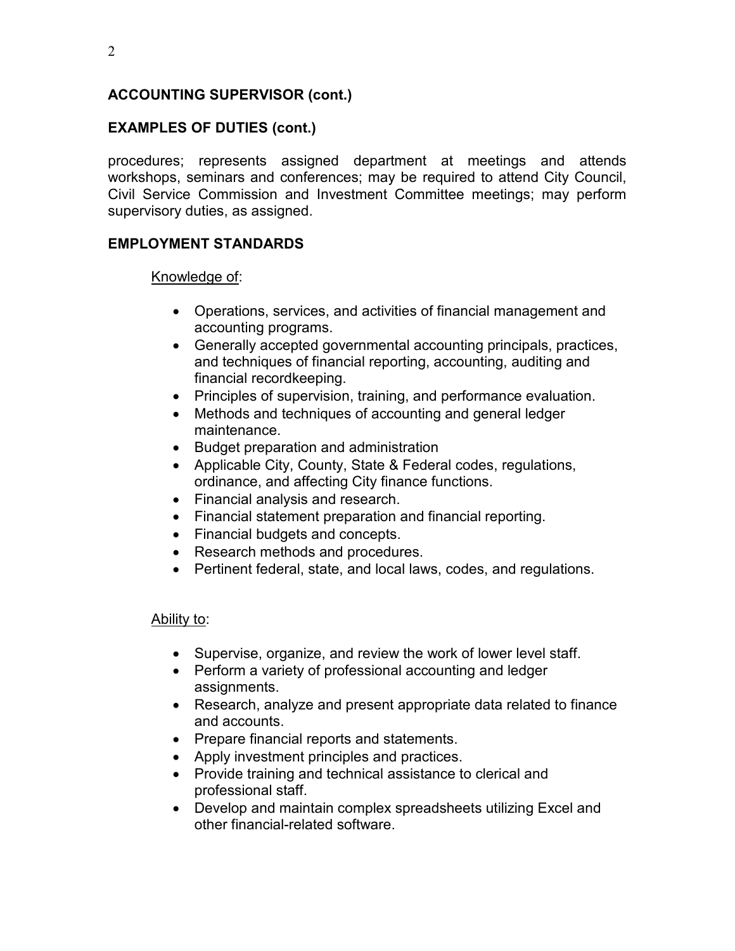# ACCOUNTING SUPERVISOR (cont.)

# EXAMPLES OF DUTIES (cont.)

procedures; represents assigned department at meetings and attends workshops, seminars and conferences; may be required to attend City Council, Civil Service Commission and Investment Committee meetings; may perform supervisory duties, as assigned.

# EMPLOYMENT STANDARDS

## Knowledge of:

- Operations, services, and activities of financial management and accounting programs.
- Generally accepted governmental accounting principals, practices, and techniques of financial reporting, accounting, auditing and financial recordkeeping.
- Principles of supervision, training, and performance evaluation.
- Methods and techniques of accounting and general ledger maintenance.
- Budget preparation and administration
- Applicable City, County, State & Federal codes, regulations, ordinance, and affecting City finance functions.
- Financial analysis and research.
- Financial statement preparation and financial reporting.
- Financial budgets and concepts.
- Research methods and procedures.
- Pertinent federal, state, and local laws, codes, and regulations.

## Ability to:

- Supervise, organize, and review the work of lower level staff.
- Perform a variety of professional accounting and ledger assignments.
- Research, analyze and present appropriate data related to finance and accounts.
- Prepare financial reports and statements.
- Apply investment principles and practices.
- Provide training and technical assistance to clerical and professional staff.
- Develop and maintain complex spreadsheets utilizing Excel and other financial-related software.